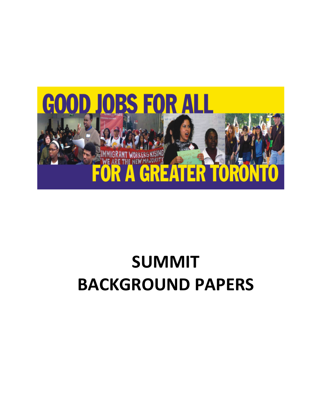

# **SUMMIT BACKGROUND PAPERS**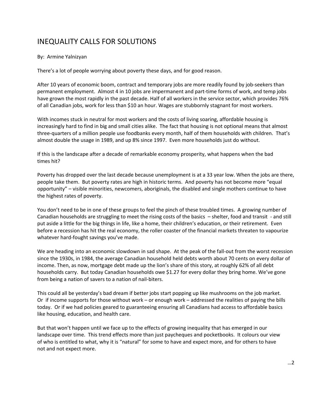# INEQUALITY CALLS FOR SOLUTIONS

#### By: Armine Yalnizyan

There's a lot of people worrying about poverty these days, and for good reason.

After 10 years of economic boom, contract and temporary jobs are more readily found by job-seekers than permanent employment. Almost 4 in 10 jobs are impermanent and part‐time forms of work, and temp jobs have grown the most rapidly in the past decade. Half of all workers in the service sector, which provides 76% of all Canadian jobs, work for less than \$10 an hour. Wages are stubbornly stagnant for most workers.

With incomes stuck in neutral for most workers and the costs of living soaring, affordable housing is increasingly hard to find in big and small cities alike. The fact that housing is not optional means that almost three‐quarters of a million people use foodbanks every month, half of them households with children. That's almost double the usage in 1989, and up 8% since 1997. Even more households just do without.

If this is the landscape after a decade of remarkable economy prosperity, what happens when the bad times hit?

Poverty has dropped over the last decade because unemployment is at a 33 year low. When the jobs are there, people take them. But poverty rates are high in historic terms. And poverty has not become more "equal opportunity" – visible minorities, newcomers, aboriginals, the disabled and single mothers continue to have the highest rates of poverty.

You don't need to be in one of these groups to feel the pinch of these troubled times. A growing number of Canadian households are struggling to meet the rising costs of the basics – shelter, food and transit ‐ and still put aside a little for the big things in life, like a home, their children's education, or their retirement. Even before a recession has hit the real economy, the roller coaster of the financial markets threaten to vapourize whatever hard‐fought savings you've made.

We are heading into an economic slowdown in sad shape. At the peak of the fall-out from the worst recession since the 1930s, in 1984, the average Canadian household held debts worth about 70 cents on every dollar of income. Then, as now, mortgage debt made up the lion's share of this story, at roughly 62% of all debt households carry. But today Canadian households owe \$1.27 for every dollar they bring home. We've gone from being a nation of savers to a nation of nail‐biters.

This could all be yesterday's bad dream if better jobs start popping up like mushrooms on the job market. Or if income supports for those without work – or enough work – addressed the realities of paying the bills today. Or if we had policies geared to guaranteeing ensuring all Canadians had access to affordable basics like housing, education, and health care.

But that won't happen until we face up to the effects of growing inequality that has emerged in our landscape over time. This trend effects more than just paycheques and pocketbooks. It colours our view of who is entitled to what, why it is "natural" for some to have and expect more, and for others to have not and not expect more.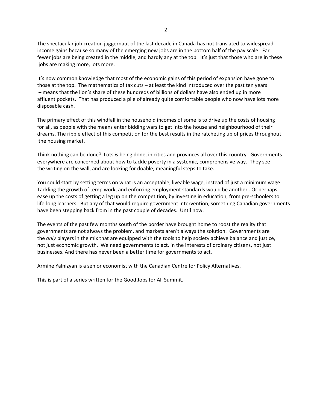The spectacular job creation juggernaut of the last decade in Canada has not translated to widespread income gains because so many of the emerging new jobs are in the bottom half of the pay scale. Far fewer jobs are being created in the middle, and hardly any at the top. It's just that those who are in these jobs are making more, lots more.

It's now common knowledge that most of the economic gains of this period of expansion have gone to those at the top. The mathematics of tax cuts – at least the kind introduced over the past ten years – means that the lion's share of these hundreds of billions of dollars have also ended up in more affluent pockets. That has produced a pile of already quite comfortable people who now have lots more disposable cash.

The primary effect of this windfall in the household incomes of some is to drive up the costs of housing for all, as people with the means enter bidding wars to get into the house and neighbourhood of their dreams. The ripple effect of this competition for the best results in the ratcheting up of prices throughout the housing market.

Think nothing can be done? Lots *is* being done, in cities and provinces all over this country. Governments everywhere are concerned about how to tackle poverty in a systemic, comprehensive way. They see the writing on the wall, and are looking for doable, meaningful steps to take.

You could start by setting terms on what is an acceptable, liveable wage, instead of just a minimum wage. Tackling the growth of temp work, and enforcing employment standards would be another . Or perhaps ease up the costs of getting a leg up on the competition, by investing in education, from pre‐schoolers to life‐long learners. But any of that would require government intervention, something Canadian governments have been stepping back from in the past couple of decades. Until now.

The events of the past few months south of the border have brought home to roost the reality that governments are not always the problem, and markets aren't always the solution. Governments are the *only* players in the mix that are equipped with the tools to help society achieve balance and justice, not just economic growth. We need governments to act, in the interests of ordinary citizens, not just businesses. And there has never been a better time for governments to act.

Armine Yalnizyan is a senior economist with the Canadian Centre for Policy Alternatives.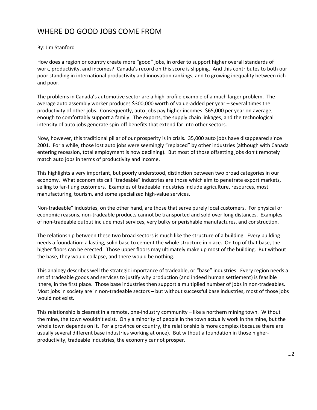## WHERE DO GOOD JOBS COME FROM

## By: Jim Stanford

How does a region or country create more "good" jobs, in order to support higher overall standards of work, productivity, and incomes? Canada's record on this score is slipping. And this contributes to both our poor standing in international productivity and innovation rankings, and to growing inequality between rich and poor.

The problems in Canada's automotive sector are a high‐profile example of a much larger problem. The average auto assembly worker produces \$300,000 worth of value‐added per year – several times the productivity of other jobs. Consequently, auto jobs pay higher incomes: \$65,000 per year on average, enough to comfortably support a family. The exports, the supply chain linkages, and the technological intensity of auto jobs generate spin-off benefits that extend far into other sectors.

Now, however, this traditional pillar of our prosperity is in crisis. 35,000 auto jobs have disappeared since 2001. For a while, those lost auto jobs were seemingly "replaced" by other industries (although with Canada entering recession, total employment is now declining). But most of those offsetting jobs don't remotely match auto jobs in terms of productivity and income.

This highlights a very important, but poorly understood, distinction between two broad categories in our economy. What economists call "tradeable" industries are those which aim to penetrate export markets, selling to far-flung customers. Examples of tradeable industries include agriculture, resources, most manufacturing, tourism, and some specialized high‐value services.

Non-tradeable" industries, on the other hand, are those that serve purely local customers. For physical or economic reasons, non-tradeable products cannot be transported and sold over long distances. Examples of non‐tradeable output include most services, very bulky or perishable manufactures, and construction.

The relationship between these two broad sectors is much like the structure of a building. Every building needs a foundation: a lasting, solid base to cement the whole structure in place. On top of that base, the higher floors can be erected. Those upper floors may ultimately make up most of the building. But without the base, they would collapse, and there would be nothing.

This analogy describes well the strategic importance of tradeable, or "base" industries. Every region needs a set of tradeable goods and services to justify why production (and indeed human settlement) is feasible there, in the first place. Those base industries then support a multiplied number of jobs in non-tradeables. Most jobs in society are in non-tradeable sectors - but without successful base industries, most of those jobs would not exist.

This relationship is clearest in a remote, one-industry community – like a northern mining town. Without the mine, the town wouldn't exist. Only a minority of people in the town actually work in the mine, but the whole town depends on it. For a province or country, the relationship is more complex (because there are usually several different base industries working at once). But without a foundation in those higher‐ productivity, tradeable industries, the economy cannot prosper.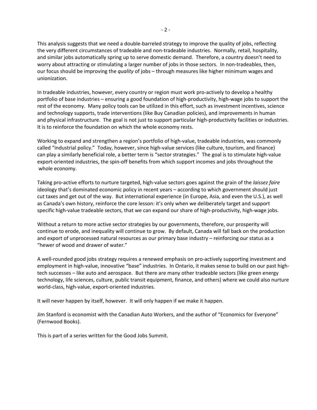This analysis suggests that we need a double‐barreled strategy to improve the quality of jobs, reflecting the very different circumstances of tradeable and non-tradeable industries. Normally, retail, hospitality, and similar jobs automatically spring up to serve domestic demand. Therefore, a country doesn't need to worry about attracting or stimulating a larger number of jobs in those sectors. In non-tradeables, then, our focus should be improving the *quality* of jobs – through measures like higher minimum wages and unionization.

In tradeable industries, however, every country or region must work pro‐actively to develop a healthy portfolio of base industries – ensuring a good foundation of high‐productivity, high‐wage jobs to support the rest of the economy. Many policy tools can be utilized in this effort, such as investment incentives, science and technology supports, trade interventions (like Buy Canadian policies), and improvements in human and physical infrastructure. The goal is not just to support particular high‐productivity facilities or industries. It is to reinforce the foundation on which the whole economy rests.

Working to expand and strengthen a region's portfolio of high‐value, tradeable industries, was commonly called "industrial policy." Today, however, since high‐value services (like culture, tourism, and finance) can play a similarly beneficial role, a better term is "sector strategies." The goal is to stimulate high‐value export-oriented industries, the spin-off benefits from which support incomes and jobs throughout the whole economy.

Taking pro‐active efforts to nurture targeted, high‐value sectors goes against the grain of the *laissez faire* ideology that's dominated economic policy in recent years – according to which government should just cut taxes and get out of the way. But international experience (in Europe, Asia, and even the U.S.), as well as Canada's own history, reinforce the core lesson: it's only when we deliberately target and support specific high-value tradeable sectors, that we can expand our share of high-productivity, high-wage jobs.

Without a return to more active sector strategies by our governments, therefore, our prosperity will continue to erode, and inequality will continue to grow. By default, Canada will fall back on the production and export of unprocessed natural resources as our primary base industry – reinforcing our status as a "hewer of wood and drawer of water."

A well‐rounded good jobs strategy requires a renewed emphasis on pro‐actively supporting investment and employment in high‐value, innovative "base" industries. In Ontario, it makes sense to build on our past high‐ tech successes – like auto and aerospace. But there are many other tradeable sectors (like green energy technology, life sciences, culture, public transit equipment, finance, and others) where we could also nurture world‐class, high‐value, export‐oriented industries.

It will never happen by itself, however. It will only happen if we make it happen.

Jim Stanford is economist with the Canadian Auto Workers, and the author of "Economics for Everyone" (Fernwood Books).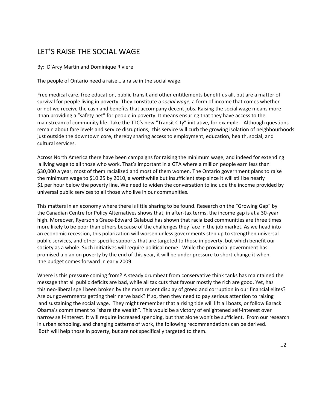## LET'S RAISE THE SOCIAL WAGE

By: D'Arcy Martin and Dominique Riviere

The people of Ontario need a raise… a raise in the social wage.

Free medical care, free education, public transit and other entitlements benefit us all, but are a matter of survival for people living in poverty. They constitute a *social wage*, a form of income that comes whether or not we receive the cash and benefits that accompany decent jobs. Raising the social wage means more than providing a "safety net" for people in poverty. It means ensuring that they have access to the mainstream of community life. Take the TTC's new "Transit City" initiative, for example. Although questions remain about fare levels and service disruptions, this service will curb the growing isolation of neighbourhoods just outside the downtown core, thereby sharing access to employment, education, health, social, and cultural services.

Across North America there have been campaigns for raising the minimum wage, and indeed for extending a living wage to all those who work. That's important in a GTA where a million people earn less than \$30,000 a year, most of them racialized and most of them women. The Ontario government plans to raise the minimum wage to \$10.25 by 2010, a worthwhile but insufficient step since it will still be nearly \$1 per hour below the poverty line. We need to widen the conversation to include the income provided by universal public services to all those who live in our communities.

This matters in an economy where there is little sharing to be found. Research on the "Growing Gap" by the Canadian Centre for Policy Alternatives shows that, in after-tax terms, the income gap is at a 30-year high. Moreover, Ryerson's Grace‐Edward Galabuzi has shown that racialized communities are three times more likely to be poor than others because of the challenges they face in the job market. As we head into an economic recession, this polarization will worsen unless governments step up to strengthen universal public services, and other specific supports that are targeted to those in poverty, but which benefit our society as a whole. Such initiatives will require political nerve. While the provincial government has promised a plan on poverty by the end of this year, it will be under pressure to short‐change it when the budget comes forward in early 2009.

Where is this pressure coming from? A steady drumbeat from conservative think tanks has maintained the message that all public deficits are bad, while all tax cuts that favour mostly the rich are good. Yet, has this neo‐liberal spell been broken by the most recent display of greed and corruption in our financial elites? Are our governments getting their nerve back? If so, then they need to pay serious attention to raising and sustaining the social wage. They might remember that a rising tide will lift all boats, or follow Barack Obama's commitment to "share the wealth". This would be a victory of enlightened self‐interest over narrow self‐interest. It will require increased spending, but that alone won't be sufficient. From our research in urban schooling, and changing patterns of work, the following recommendations can be derived. Both will help those in poverty, but are not specifically targeted to them.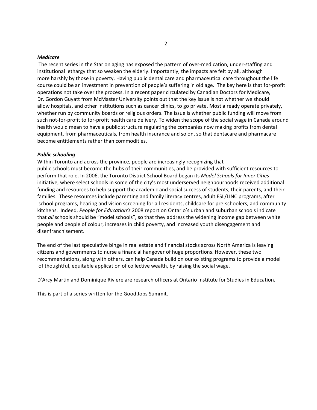#### *Medicare*

The recent series in the Star on aging has exposed the pattern of over-medication, under-staffing and institutional lethargy that so weaken the elderly. Importantly, the impacts are felt by all, although more harshly by those in poverty. Having public dental care and pharmaceutical care throughout the life course could be an investment in prevention of people's suffering in old age. The key here is that for‐profit operations not take over the process. In a recent paper circulated by Canadian Doctors for Medicare, Dr. Gordon Guyatt from McMaster University points out that the key issue is not whether we should allow hospitals, and other institutions such as cancer clinics, to go private. Most already operate privately, whether run by community boards or religious orders. The issue is whether public funding will move from such not‐for‐profit to for‐profit health care delivery. To widen the scope of the social wage in Canada around health would mean to have a public structure regulating the companies now making profits from dental equipment, from pharmaceuticals, from health insurance and so on, so that dentacare and pharmacare become entitlements rather than commodities.

#### *Public schooling*

Within Toronto and across the province, people are increasingly recognizing that public schools must become the hubs of their communities, and be provided with sufficient resources to perform that role. In 2006, the Toronto District School Board began its *Model Schools for Inner Cities* initiative, where select schools in some of the city's most underserved neighbourhoods received additional funding and resources to help support the academic and social success of students, their parents, and their families. These resources include parenting and family literacy centres, adult ESL/LINC programs, after school programs, hearing and vision screening for all residents, childcare for pre‐schoolers, and community kitchens. Indeed, *People for Education's* 2008 report on Ontario's urban and suburban schools indicate that *all* schools should be "model schools", so that they address the widening income gap between white people and people of colour, increases in child poverty, and increased youth disengagement and disenfranchisement.

The end of the last speculative binge in real estate and financial stocks across North America is leaving citizens and governments to nurse a financial hangover of huge proportions. However, these two recommendations, along with others, can help Canada build on our existing programs to provide a model of thoughtful, equitable application of collective wealth, by raising the social wage.

D'Arcy Martin and Dominique Riviere are research officers at Ontario Institute for Studies in Education.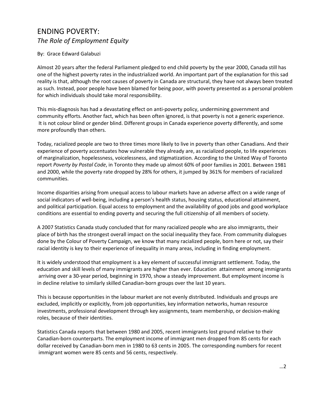## ENDING POVERTY: *The Role of Employment Equity*

#### By: Grace Edward Galabuzi

Almost 20 years after the federal Parliament pledged to end child poverty by the year 2000, Canada still has one of the highest poverty rates in the industrialized world. An important part of the explanation for this sad reality is that, although the root causes of poverty in Canada are structural, they have not always been treated as such. Instead, poor people have been blamed for being poor, with poverty presented as a personal problem for which individuals should take moral responsibility.

This mis‐diagnosis has had a devastating effect on anti‐poverty policy, undermining government and community efforts. Another fact, which has been often ignored, is that poverty is not a generic experience. It is not colour blind or gender blind. Different groups in Canada experience poverty differently, and some more profoundly than others.

Today, racialized people are two to three times more likely to live in poverty than other Canadians. And their experience of poverty accentuates how vulnerable they already are, as racialized people, to life experiences of marginalization, hopelessness, voicelessness, and stigmatization. According to the United Way of Toronto report *Poverty by Postal Code*, in Toronto they made up almost 60% of poor families in 2001. Between 1981 and 2000, while the poverty rate dropped by 28% for others, it jumped by 361% for members of racialized communities.

Income disparities arising from unequal access to labour markets have an adverse affect on a wide range of social indicators of well-being, including a person's health status, housing status, educational attainment, and political participation. Equal access to employment and the availability of good jobs and good workplace conditions are essential to ending poverty and securing the full citizenship of all members of society.

A 2007 Statistics Canada study concluded that for many racialized people who are also immigrants, their place of birth has the strongest overall impact on the social inequality they face. From community dialogues done by the Colour of Poverty Campaign, we know that many racialized people, born here or not, say their racial identity is key to their experience of inequality in many areas, including in finding employment.

It is widely understood that employment is a key element of successful immigrant settlement. Today, the education and skill levels of many immigrants are higher than ever. Education attainment among immigrants arriving over a 30‐year period, beginning in 1970, show a steady improvement. But employment income is in decline relative to similarly skilled Canadian‐born groups over the last 10 years.

This is because opportunities in the labour market are not evenly distributed. Individuals and groups are excluded, implicitly or explicitly, from job opportunities, key information networks, human resource investments, professional development through key assignments, team membership, or decision‐making roles, because of their identities.

Statistics Canada reports that between 1980 and 2005, recent immigrants lost ground relative to their Canadian‐born counterparts. The employment income of immigrant men dropped from 85 cents for each dollar received by Canadian‐born men in 1980 to 63 cents in 2005. The corresponding numbers for recent immigrant women were 85 cents and 56 cents, respectively.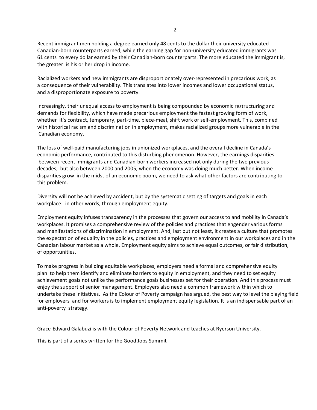Recent immigrant men holding a degree earned only 48 cents to the dollar their university educated Canadian‐born counterparts earned, while the earning gap for non‐university educated immigrants was 61 cents to every dollar earned by their Canadian‐born counterparts. The more educated the immigrant is, the greater is his or her drop in income.

Racialized workers and new immigrants are disproportionately over‐represented in precarious work, as a consequence of their vulnerability. This translates into lower incomes and lower occupational status, and a disproportionate exposure to poverty.

Increasingly, their unequal access to employment is being compounded by economic restructuring and demands for flexibility, which have made precarious employment the fastest growing form of work, whether it's contract, temporary, part‐time, piece‐meal, shift work or self‐employment. This, combined with historical racism and discrimination in employment, makes racialized groups more vulnerable in the Canadian economy.

The loss of well‐paid manufacturing jobs in unionized workplaces, and the overall decline in Canada's economic performance, contributed to this disturbing phenomenon. However, the earnings disparities between recent immigrants and Canadian‐born workers increased not only during the two previous decades, but also between 2000 and 2005, when the economy was doing much better. When income disparities grow in the midst of an economic boom, we need to ask what other factors are contributing to this problem.

Diversity will not be achieved by accident, but by the systematic setting of targets and goals in each workplace: in other words, through employment equity.

Employment equity infuses transparency in the processes that govern our access to and mobility in Canada's workplaces. It promises a comprehensive review of the policies and practices that engender various forms and manifestations of discrimination in employment. And, last but not least, it creates a culture that promotes the expectation of equality in the policies, practices and employment environment in our workplaces and in the Canadian labour market as a whole. Employment equity aims to achieve equal outcomes, or fair distribution, of opportunities.

To make progress in building equitable workplaces, employers need a formal and comprehensive equity plan to help them identify and eliminate barriers to equity in employment, and they need to set equity achievement goals not unlike the performance goals businesses set for their operation. And this process must enjoy the support of senior management. Employers also need a common framework within which to undertake these initiatives. As the Colour of Poverty campaign has argued, the best way to level the playing field for employers and for workers is to implement employment equity legislation. It is an indispensable part of an anti‐poverty strategy.

Grace‐Edward Galabuzi is with the Colour of Poverty Network and teaches at Ryerson University.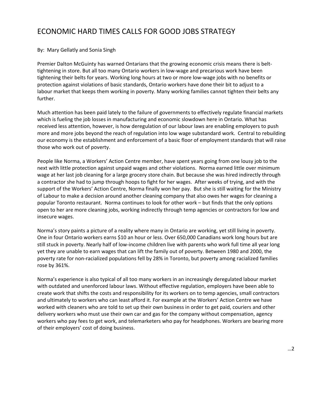## ECONOMIC HARD TIMES CALLS FOR GOOD JOBS STRATEGY

#### By: Mary Gellatly and Sonia Singh

Premier Dalton McGuinty has warned Ontarians that the growing economic crisis means there is belt‐ tightening in store. But all too many Ontario workers in low‐wage and precarious work have been tightening their belts for years. Working long hours at two or more low‐wage jobs with no benefits or protection against violations of basic standards, Ontario workers have done their bit to adjust to a labour market that keeps them working in poverty. Many working families cannot tighten their belts any further.

Much attention has been paid lately to the failure of governments to effectively regulate financial markets which is fueling the job losses in manufacturing and economic slowdown here in Ontario. What has received less attention, however, is how deregulation of our labour laws are enabling employers to push more and more jobs beyond the reach of regulation into low wage substandard work. Central to rebuilding our economy is the establishment and enforcement of a basic floor of employment standards that will raise those who work out of poverty.

People like Norma, a Workers' Action Centre member, have spent years going from one lousy job to the next with little protection against unpaid wages and other violations. Norma earned little over minimum wage at her last job cleaning for a large grocery store chain. But because she was hired indirectly through a contractor she had to jump through hoops to fight for her wages. After weeks of trying, and with the support of the Workers' Action Centre, Norma finally won her pay. But she is still waiting for the Ministry of Labour to make a decision around another cleaning company that also owes her wages for cleaning a popular Toronto restaurant. Norma continues to look for other work – but finds that the only options open to her are more cleaning jobs, working indirectly through temp agencies or contractors for low and insecure wages.

Norma's story paints a picture of a reality where many in Ontario are working, yet still living in poverty. One in four Ontario workers earns \$10 an hour or less. Over 650,000 Canadians work long hours but are still stuck in poverty. Nearly half of low‐income children live with parents who work full time all year long yet they are unable to earn wages that can lift the family out of poverty. Between 1980 and 2000, the poverty rate for non-racialized populations fell by 28% in Toronto, but poverty among racialized families rose by 361%.

Norma's experience is also typical of all too many workers in an increasingly deregulated labour market with outdated and unenforced labour laws. Without effective regulation, employers have been able to create work that shifts the costs and responsibility for its workers on to temp agencies, small contractors and ultimately to workers who can least afford it. For example at the Workers' Action Centre we have worked with cleaners who are told to set up their own business in order to get paid, couriers and other delivery workers who must use their own car and gas for the company without compensation, agency workers who pay fees to get work, and telemarketers who pay for headphones. Workers are bearing more of their employers' cost of doing business.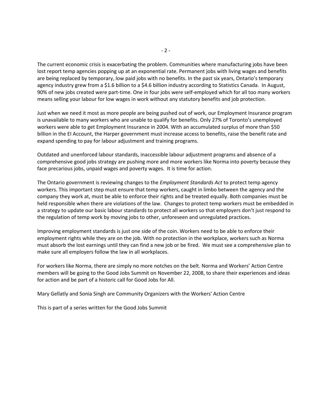The current economic crisis is exacerbating the problem. Communities where manufacturing jobs have been lost report temp agencies popping up at an exponential rate. Permanent jobs with living wages and benefits are being replaced by temporary, low paid jobs with no benefits. In the past six years, Ontario's temporary agency industry grew from a \$1.6 billion to a \$4.6 billion industry according to Statistics Canada. In August, 90% of new jobs created were part-time. One in four jobs were self-employed which for all too many workers means selling your labour for low wages in work without any statutory benefits and job protection.

Just when we need it most as more people are being pushed out of work, our Employment Insurance program is unavailable to many workers who are unable to qualify for benefits. Only 27% of Toronto's unemployed workers were able to get Employment Insurance in 2004. With an accumulated surplus of more than \$50 billion in the EI Account, the Harper government must increase access to benefits, raise the benefit rate and expand spending to pay for labour adjustment and training programs.

Outdated and unenforced labour standards, inaccessible labour adjustment programs and absence of a comprehensive good jobs strategy are pushing more and more workers like Norma into poverty because they face precarious jobs, unpaid wages and poverty wages. It is time for action.

The Ontario government is reviewing changes to the *Employment Standards Act* to protect temp agency workers. This important step must ensure that temp workers, caught in limbo between the agency and the company they work at, must be able to enforce their rights and be treated equally. Both companies must be held responsible when there are violations of the law. Changes to protect temp workers must be embedded in a strategy to update our basic labour standards to protect all workers so that employers don't just respond to the regulation of temp work by moving jobs to other, unforeseen and unregulated practices.

Improving employment standards is just one side of the coin. Workers need to be able to enforce their employment rights while they are on the job. With no protection in the workplace, workers such as Norma must absorb the lost earnings until they can find a new job or be fired. We must see a comprehensive plan to make sure all employers follow the law in all workplaces.

For workers like Norma, there are simply no more notches on the belt. Norma and Workers' Action Centre members will be going to the Good Jobs Summit on November 22, 2008, to share their experiences and ideas for action and be part of a historic call for Good Jobs for All.

Mary Gellatly and Sonia Singh are Community Organizers with the Workers' Action Centre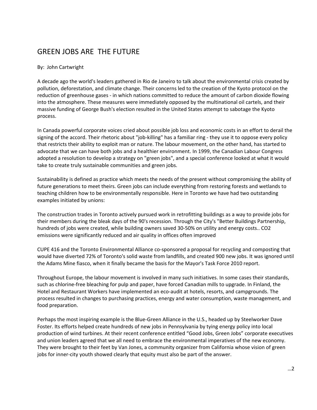## GREEN JOBS ARE THE FUTURE

#### By: John Cartwright

A decade ago the world's leaders gathered in Rio de Janeiro to talk about the environmental crisis created by pollution, deforestation, and climate change. Their concerns led to the creation of the Kyoto protocol on the reduction of greenhouse gases ‐ in which nations committed to reduce the amount of carbon dioxide flowing into the atmosphere. These measures were immediately opposed by the multinational oil cartels, and their massive funding of George Bush's election resulted in the United States attempt to sabotage the Kyoto process.

In Canada powerful corporate voices cried about possible job loss and economic costs in an effort to derail the signing of the accord. Their rhetoric about "job-killing" has a familiar ring - they use it to oppose every policy that restricts their ability to exploit man or nature. The labour movement, on the other hand, has started to advocate that we can have both jobs and a healthier environment. In 1999, the Canadian Labour Congress adopted a resolution to develop a strategy on "green jobs", and a special conference looked at what it would take to create truly sustainable communities and green jobs.

Sustainability is defined as practice which meets the needs of the present without compromising the ability of future generations to meet theirs. Green jobs can include everything from restoring forests and wetlands to teaching children how to be environmentally responsible. Here in Toronto we have had two outstanding examples initiated by unions:

The construction trades in Toronto actively pursued work in retrofitting buildings as a way to provide jobs for their members during the bleak days of the 90's recession. Through the City's "Better Buildings Partnership, hundreds of jobs were created, while building owners saved 30‐50% on utility and energy costs.. CO2 emissions were significantly reduced and air quality in offices often improved

CUPE 416 and the Toronto Environmental Alliance co‐sponsored a proposal for recycling and composting that would have diverted 72% of Toronto's solid waste from landfills, and created 900 new jobs. It was ignored until the Adams Mine fiasco, when it finally became the basis for the Mayor's Task Force 2010 report.

Throughout Europe, the labour movement is involved in many such initiatives. In some cases their standards, such as chlorine‐free bleaching for pulp and paper, have forced Canadian mills to upgrade. In Finland, the Hotel and Restaurant Workers have implemented an eco‐audit at hotels, resorts, and campgrounds. The process resulted in changes to purchasing practices, energy and water consumption, waste management, and food preparation.

Perhaps the most inspiring example is the Blue‐Green Alliance in the U.S., headed up by Steelworker Dave Foster. Its efforts helped create hundreds of new jobs in Pennsylvania by tying energy policy into local production of wind turbines. At their recent conference entitled "Good Jobs, Green Jobs" corporate executives and union leaders agreed that we all need to embrace the environmental imperatives of the new economy. They were brought to their feet by Van Jones, a community organizer from California whose vision of green jobs for inner-city youth showed clearly that equity must also be part of the answer.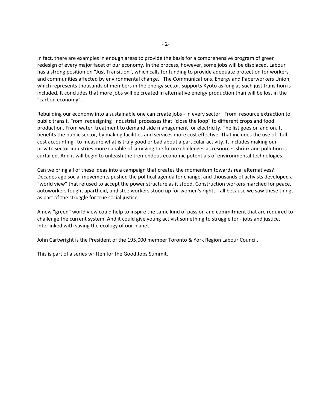In fact, there are examples in enough areas to provide the basis for a comprehensive program of green redesign of every major facet of our economy. In the process, however, some jobs will be displaced. Labour has a strong position on "Just Transition", which calls for funding to provide adequate protection for workers and communities affected by environmental change. The Communications, Energy and Paperworkers Union, which represents thousands of members in the energy sector, supports Kyoto as long as such just transition is included. It concludes that more jobs will be created in alternative energy production than will be lost in the "carbon economy".

Rebuilding our economy into a sustainable one can create jobs ‐ in every sector. From resource extraction to public transit. From redesigning industrial processes that "close the loop" to different crops and food production. From water treatment to demand side management for electricity. The list goes on and on. It benefits the public sector, by making facilities and services more cost effective. That includes the use of "full cost accounting" to measure what is truly good or bad about a particular activity. It includes making our private sector industries more capable of surviving the future challenges as resources shrink and pollution is curtailed. And it will begin to unleash the tremendous economic potentials of environmental technologies.

Can we bring all of these ideas into a campaign that creates the momentum towards real alternatives? Decades ago social movements pushed the political agenda for change, and thousands of activists developed a "world view" that refused to accept the power structure as it stood. Construction workers marched for peace, autoworkers fought apartheid, and steelworkers stood up for women's rights - all because we saw these things as part of the struggle for true social justice.

A new "green" world view could help to inspire the same kind of passion and commitment that are required to challenge the current system. And it could give young activist something to struggle for ‐ jobs and justice, interlinked with saving the ecology of our planet.

John Cartwright is the President of the 195,000 member Toronto & York Region Labour Council.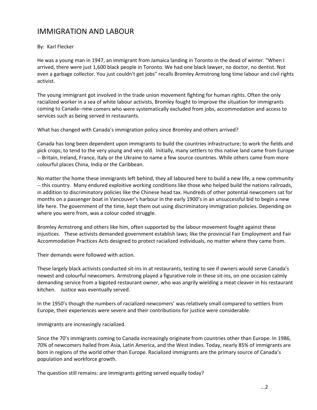## IMMIGRATION AND LABOUR

## By: Karl Flecker

He was a young man in 1947, an immigrant from Jamaica landing in Toronto in the dead of winter. "When I arrived, there were just 1,600 black people in Toronto. We had one black lawyer, no doctor, no dentist. Not even a garbage collector. You just couldn't get jobs" recalls Bromley Armstrong long time labour and civil rights activist.

The young immigrant got involved in the trade union movement fighting for human rights. Often the only racialized worker in a sea of white labour activists, Bromley fought to improve the situation for immigrants coming to Canada‐‐new comers who were systematically excluded from jobs, accommodation and access to services such as being served in restaurants.

What has changed with Canada's immigration policy since Bromley and others arrived?

Canada has long been dependent upon immigrants to build the countries infrastructure; to work the fields and pick crops; to tend to the very young and very old. Initially, many settlers to this native land came from Europe ‐‐ Britain, Ireland, France, Italy or the Ukraine to name a few source countries. While others came from more colourful places China, India or the Caribbean.

No matter the home these immigrants left behind, they all laboured here to build a new life, a new community ‐‐ this country. Many endured exploitive working conditions like those who helped build the nations railroads, in addition to discriminatory policies like the Chinese head tax. Hundreds of other potential newcomers sat for months on a passenger boat in Vancouver's harbour in the early 1900's in an unsuccessful bid to begin a new life here. The government of the time, kept them out using discriminatory immigration policies. Depending on where you were from, was a colour coded struggle.

Bromley Armstrong and others like him, often supported by the labour movement fought against these injustices. These activists demanded government establish laws; like the provincial Fair Employment and Fair Accommodation Practices Acts designed to protect racialized individuals, no matter where they came from.

Their demands were followed with action.

These largely black activists conducted sit-ins in at restaurants, testing to see if owners would serve Canada's newest and colourful newcomers. Armstrong played a figurative role in these sit‐ins, on one occasion calmly demanding service from a bigoted restaurant owner, who was angrily wielding a meat cleaver in his restaurant kitchen. Justice was eventually served.

In the 1950's though the numbers of racialized newcomers' was relatively small compared to settlers from Europe, their experiences were severe and their contributions for justice were considerable.

Immigrants are increasingly racialized.

Since the 70's immigrants coming to Canada increasingly originate from countries other than Europe. In 1986, 70% of newcomers hailed from Asia, Latin America, and the West Indies. Today, nearly 85% of immigrants are born in regions of the world other than Europe. Racialized immigrants are the primary source of Canada's population and workforce growth.

The question still remains: are immigrants getting served equally today?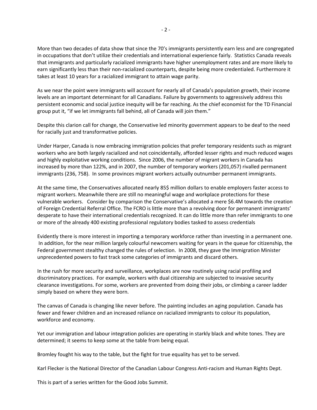More than two decades of data show that since the 70's immigrants persistently earn less and are congregated in occupations that don't utilize their credentials and international experience fairly. Statistics Canada reveals that immigrants and particularly racialized immigrants have higher unemployment rates and are more likely to earn significantly less than their non‐racialized counterparts, despite being more credentialed. Furthermore it takes at least 10 years for a racialized immigrant to attain wage parity.

As we near the point were immigrants will account for nearly all of Canada's population growth, their income levels are an important determinant for all Canadians. Failure by governments to aggressively address this persistent economic and social justice inequity will be far reaching. As the chief economist for the TD Financial group put it, "if we let immigrants fall behind, all of Canada will join them."

Despite this clarion call for change, the Conservative led minority government appears to be deaf to the need for racially just and transformative policies.

Under Harper, Canada is now embracing immigration policies that prefer temporary residents such as migrant workers who are both largely racialized and not coincidentally, afforded lesser rights and much reduced wages and highly exploitative working conditions. Since 2006, the number of migrant workers in Canada has increased by more than 122%, and in 2007, the number of temporary workers (201,057) rivalled permanent immigrants (236, 758). In some provinces migrant workers actually outnumber permanent immigrants.

At the same time, the Conservatives allocated nearly 85\$ million dollars to enable employers faster access to migrant workers. Meanwhile there are still no meaningful wage and workplace protections for these vulnerable workers. Consider by comparison the Conservative's allocated a mere \$6.4M towards the creation of Foreign Credential Referral Office. The FCRO is little more than a revolving door for permanent immigrants' desperate to have their international credentials recognized. It can do little more than refer immigrants to one or more of the already 400 existing professional regulatory bodies tasked to assess credentials

Evidently there is more interest in importing a temporary workforce rather than investing in a permanent one. In addition, for the near million largely colourful newcomers waiting for years in the queue for citizenship, the Federal government stealthy changed the rules of selection. In 2008, they gave the Immigration Minister unprecedented powers to fast track some categories of immigrants and discard others.

In the rush for more security and surveillance, workplaces are now routinely using racial profiling and discriminatory practices. For example, workers with dual citizenship are subjected to invasive security clearance investigations. For some, workers are prevented from doing their jobs, or climbing a career ladder simply based on where they were born.

The canvas of Canada is changing like never before. The painting includes an aging population. Canada has fewer and fewer children and an increased reliance on racialized immigrants to colour its population, workforce and economy.

Yet our immigration and labour integration policies are operating in starkly black and white tones. They are determined; it seems to keep some at the table from being equal.

Bromley fought his way to the table, but the fight for true equality has yet to be served.

Karl Flecker is the National Director of the Canadian Labour Congress Anti‐racism and Human Rights Dept.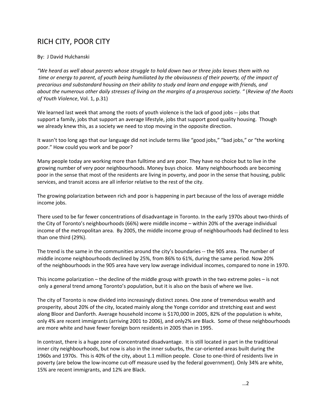## RICH CITY, POOR CITY

## By: J David Hulchanski

"We heard as well about parents whose struggle to hold down two or three jobs leaves them with no time or energy to parent, of youth being humiliated by the obviousness of their poverty, of the impact of *precarious and substandard housing on their ability to study and learn and engage with friends, and*  about the numerous other daily stresses of living on the margins of a prosperous society. " (Review of the Roots *of Youth Violence*, Vol. 1, p.31)

We learned last week that among the roots of youth violence is the lack of good jobs -- jobs that support a family, jobs that support an average lifestyle, jobs that support good quality housing. Though we already knew this, as a society we need to stop moving in the opposite direction.

It wasn't too long ago that our language did not include terms like "good jobs," "bad jobs," or "the working poor." How could you work and be poor?

Many people today are working more than fulltime and are poor. They have no choice but to live in the growing number of very poor neighbourhoods. Money buys choice. Many neighbourhoods are becoming poor in the sense that most of the residents are living in poverty, and poor in the sense that housing, public services, and transit access are all inferior relative to the rest of the city.

The growing polarization between rich and poor is happening in part because of the loss of average middle income jobs.

There used to be far fewer concentrations of disadvantage in Toronto. In the early 1970s about two‐thirds of the City of Toronto's neighbourhoods (66%) were middle income – within 20% of the average individual income of the metropolitan area. By 2005, the middle income group of neighbourhoods had declined to less than one third (29%).

The trend is the same in the communities around the city's boundaries -- the 905 area. The number of middle income neighbourhoods declined by 25%, from 86% to 61%, during the same period. Now 20% of the neighbourhoods in the 905 area have very low average individual incomes, compared to none in 1970.

This income polarization – the decline of the middle group with growth in the two extreme poles – is not only a general trend among Toronto's population, but it is also on the basis of where we live.

The city of Toronto is now divided into increasingly distinct zones. One zone of tremendous wealth and prosperity, about 20% of the city, located mainly along the Yonge corridor and stretching east and west along Bloor and Danforth. Average household income is \$170,000 in 2005, 82% of the population is white, only 4% are recent immigrants (arriving 2001 to 2006), and only2% are Black. Some of these neighbourhoods are more white and have fewer foreign born residents in 2005 than in 1995.

In contrast, there is a huge zone of concentrated disadvantage. It is still located in part in the traditional inner city neighbourhoods, but now is also in the inner suburbs, the car-oriented areas built during the 1960s and 1970s. This is 40% of the city, about 1.1 million people. Close to one-third of residents live in poverty (are below the low-income cut-off measure used by the federal government). Only 34% are white, 15% are recent immigrants, and 12% are Black.